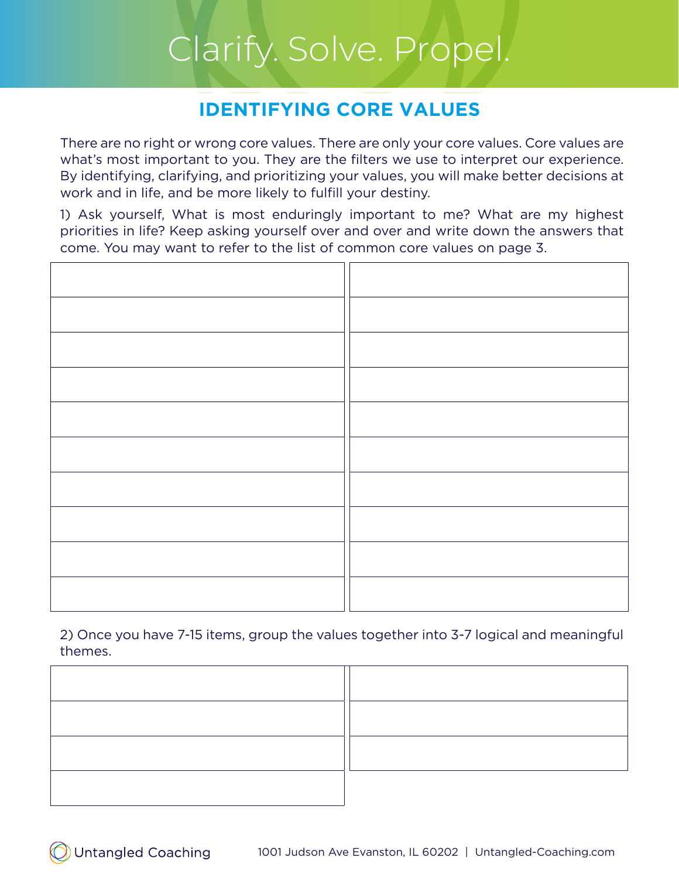### **IDENTIFYING CORE VALUES**

There are no right or wrong core values. There are only your core values. Core values are what's most important to you. They are the filters we use to interpret our experience. By identifying, clarifying, and prioritizing your values, you will make better decisions at work and in life, and be more likely to fulfill your destiny.

1) Ask yourself, What is most enduringly important to me? What are my highest priorities in life? Keep asking yourself over and over and write down the answers that come. You may want to refer to the list of common core values on page 3.

2) Once you have 7-15 items, group the values together into 3-7 logical and meaningful themes.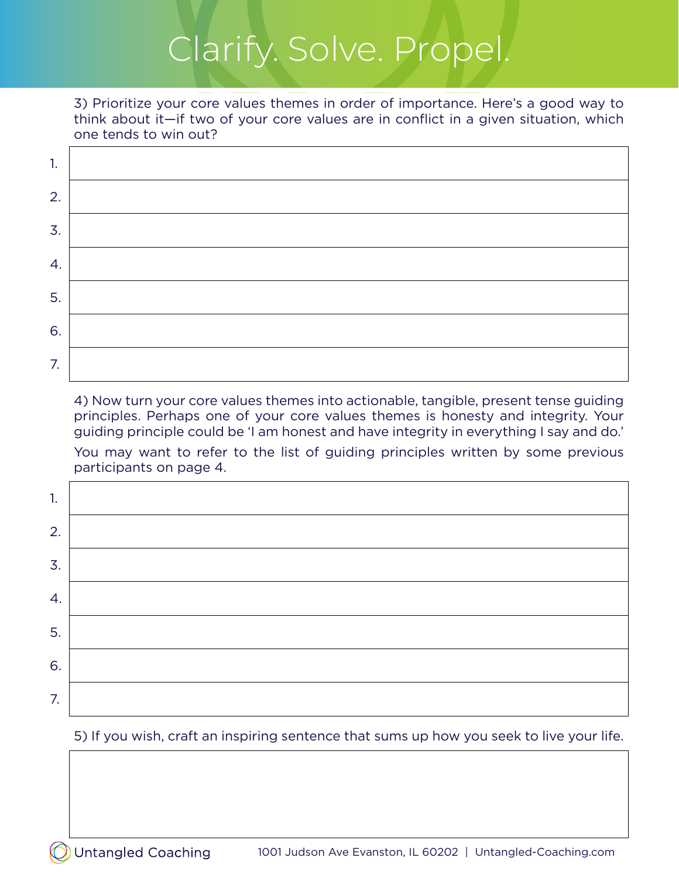3) Prioritize your core values themes in order of importance. Here's a good way to think about it—if two of your core values are in conflict in a given situation, which one tends to win out?

| 1. |  |
|----|--|
| 2. |  |
| 3. |  |
| 4. |  |
| 5. |  |
| 6. |  |
| 7. |  |

4) Now turn your core values themes into actionable, tangible, present tense guiding principles. Perhaps one of your core values themes is honesty and integrity. Your guiding principle could be 'I am honest and have integrity in everything I say and do.' You may want to refer to the list of guiding principles written by some previous participants on page 4.

| 1. |  |
|----|--|
| 2. |  |
| 3. |  |
| 4. |  |
| 5. |  |
| 6. |  |
| 7. |  |

#### 5) If you wish, craft an inspiring sentence that sums up how you seek to live your life.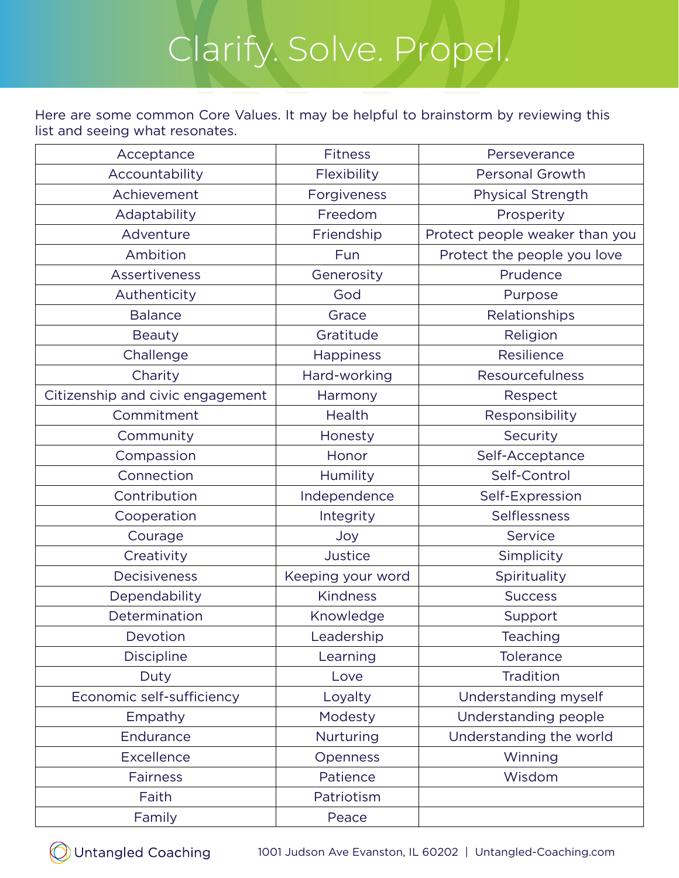Here are some common Core Values. It may be helpful to brainstorm by reviewing this list and seeing what resonates.

| Acceptance                       | <b>Fitness</b>    | Perseverance                   |
|----------------------------------|-------------------|--------------------------------|
| Accountability                   | Flexibility       | Personal Growth                |
| Achievement                      | Forgiveness       | Physical Strength              |
| Adaptability                     | Freedom           | Prosperity                     |
| Adventure                        | Friendship        | Protect people weaker than you |
| Ambition                         | Fun               | Protect the people you love    |
| Assertiveness                    | Generosity        | Prudence                       |
| Authenticity                     | God               | Purpose                        |
| <b>Balance</b>                   | Grace             | Relationships                  |
| <b>Beauty</b>                    | Gratitude         | Religion                       |
| Challenge                        | <b>Happiness</b>  | Resilience                     |
| Charity                          | Hard-working      | Resourcefulness                |
| Citizenship and civic engagement | Harmony           | Respect                        |
| Commitment                       | Health            | Responsibility                 |
| Community                        | Honesty           | Security                       |
| Compassion                       | Honor             | Self-Acceptance                |
| Connection                       | Humility          | Self-Control                   |
| Contribution                     | Independence      | Self-Expression                |
| Cooperation                      | Integrity         | Selflessness                   |
| Courage                          | Joy               | Service                        |
| Creativity                       | Justice           | Simplicity                     |
| Decisiveness                     | Keeping your word | Spirituality                   |
| Dependability                    | <b>Kindness</b>   | <b>Success</b>                 |
| Determination                    | Knowledge         | Support                        |
| Devotion                         | Leadership        | Teaching                       |
| <b>Discipline</b>                | Learning          | <b>Tolerance</b>               |
| Duty                             | Love              | Tradition                      |
| Economic self-sufficiency        | Loyalty           | Understanding myself           |
| Empathy                          | Modesty           | Understanding people           |
| Endurance                        | Nurturing         | Understanding the world        |
| <b>Excellence</b>                | Openness          | Winning                        |
| <b>Fairness</b>                  | Patience          | Wisdom                         |
| Faith                            | Patriotism        |                                |
| Family                           | Peace             |                                |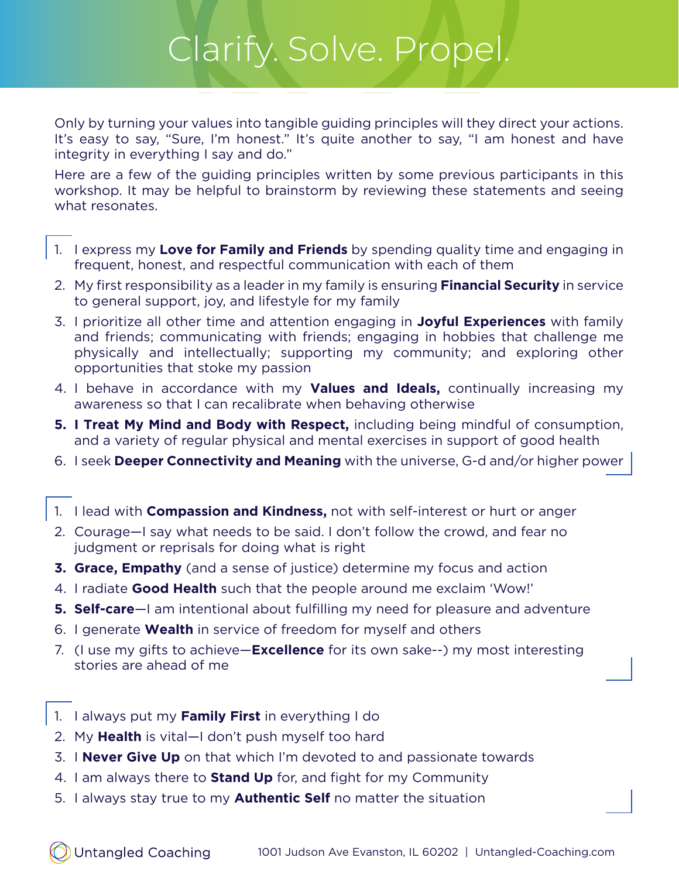Only by turning your values into tangible guiding principles will they direct your actions. It's easy to say, "Sure, I'm honest." It's quite another to say, "I am honest and have integrity in everything I say and do."

Here are a few of the guiding principles written by some previous participants in this workshop. It may be helpful to brainstorm by reviewing these statements and seeing what resonates.

- 1. I express my **Love for Family and Friends** by spending quality time and engaging in frequent, honest, and respectful communication with each of them
- 2. My first responsibility as a leader in my family is ensuring **Financial Security** in service to general support, joy, and lifestyle for my family
- 3. I prioritize all other time and attention engaging in **Joyful Experiences** with family and friends; communicating with friends; engaging in hobbies that challenge me physically and intellectually; supporting my community; and exploring other opportunities that stoke my passion
- 4. I behave in accordance with my **Values and Ideals,** continually increasing my awareness so that I can recalibrate when behaving otherwise
- **5. I Treat My Mind and Body with Respect,** including being mindful of consumption, and a variety of regular physical and mental exercises in support of good health
- 6. I seek **Deeper Connectivity and Meaning** with the universe, G-d and/or higher power
- 1. I lead with **Compassion and Kindness,** not with self-interest or hurt or anger
- 2. Courage—I say what needs to be said. I don't follow the crowd, and fear no judgment or reprisals for doing what is right
- **3. Grace, Empathy** (and a sense of justice) determine my focus and action
- 4. I radiate **Good Health** such that the people around me exclaim 'Wow!'
- **5. Self-care**—I am intentional about fulfilling my need for pleasure and adventure
- 6. I generate **Wealth** in service of freedom for myself and others
- 7. (I use my gifts to achieve—**Excellence** for its own sake--) my most interesting stories are ahead of me
- 1. I always put my **Family First** in everything I do
- 2. My **Health** is vital—I don't push myself too hard
- 3. I **Never Give Up** on that which I'm devoted to and passionate towards
- 4. I am always there to **Stand Up** for, and fight for my Community
- 5. I always stay true to my **Authentic Self** no matter the situation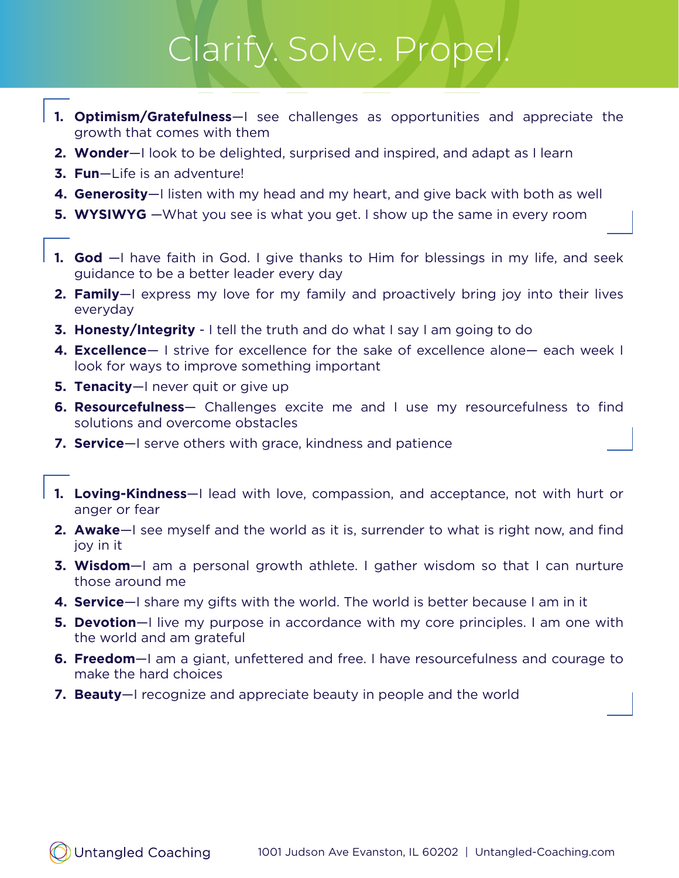- **1. Optimism/Gratefulness**—I see challenges as opportunities and appreciate the growth that comes with them
- **2. Wonder**—I look to be delighted, surprised and inspired, and adapt as I learn
- **3. Fun**—Life is an adventure!
- **4. Generosity**—I listen with my head and my heart, and give back with both as well
- **5. WYSIWYG** —What you see is what you get. I show up the same in every room
- **1. God** —I have faith in God. I give thanks to Him for blessings in my life, and seek guidance to be a better leader every day
- **2. Family**—I express my love for my family and proactively bring joy into their lives everyday
- **3. Honesty/Integrity** I tell the truth and do what I say I am going to do
- **4. Excellence** I strive for excellence for the sake of excellence alone— each week I look for ways to improve something important
- **5. Tenacity**—I never quit or give up
- **6. Resourcefulness** Challenges excite me and I use my resourcefulness to find solutions and overcome obstacles
- **7. Service**—I serve others with grace, kindness and patience
- **1. Loving-Kindness**—I lead with love, compassion, and acceptance, not with hurt or anger or fear
- **2. Awake**—I see myself and the world as it is, surrender to what is right now, and find joy in it
- **3. Wisdom**—I am a personal growth athlete. I gather wisdom so that I can nurture those around me
- **4. Service**—I share my gifts with the world. The world is better because I am in it
- **5. Devotion**—I live my purpose in accordance with my core principles. I am one with the world and am grateful
- **6. Freedom**—I am a giant, unfettered and free. I have resourcefulness and courage to make the hard choices
- **7. Beauty**—I recognize and appreciate beauty in people and the world